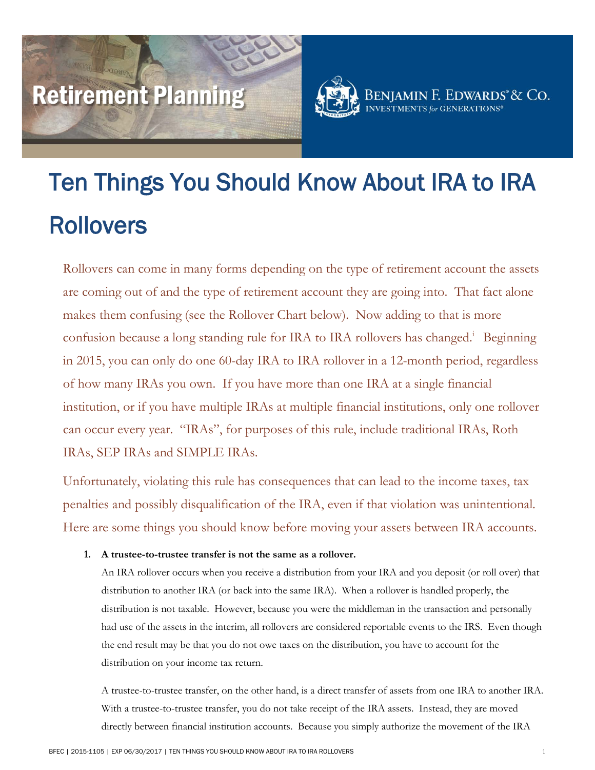# Retirement Planning



BENJAMIN F. EDWARDS<sup>®</sup>& Co.

# Ten Things You Should Know About IRA to IRA Rollovers

Rollovers can come in many forms depending on the type of retirement account the assets are coming out of and the type of retirement account they are going into. That fact alone makes them confusing (see the Rollover Chart below). Now adding to that is more confusion because a long standing rule for IRA to IRA rollovers has changed.<sup>i</sup> Beginning in 2015, you can only do one 60-day IRA to IRA rollover in a 12-month period, regardless of how many IRAs you own. If you have more than one IRA at a single financial institution, or if you have multiple IRAs at multiple financial institutions, only one rollover can occur every year. "IRAs", for purposes of this rule, include traditional IRAs, Roth IRAs, SEP IRAs and SIMPLE IRAs.

Unfortunately, violating this rule has consequences that can lead to the income taxes, tax penalties and possibly disqualification of the IRA, even if that violation was unintentional. Here are some things you should know before moving your assets between IRA accounts.

### **1. A trustee-to-trustee transfer is not the same as a rollover.**

An IRA rollover occurs when you receive a distribution from your IRA and you deposit (or roll over) that distribution to another IRA (or back into the same IRA). When a rollover is handled properly, the distribution is not taxable. However, because you were the middleman in the transaction and personally had use of the assets in the interim, all rollovers are considered reportable events to the IRS. Even though the end result may be that you do not owe taxes on the distribution, you have to account for the distribution on your income tax return.

A trustee-to-trustee transfer, on the other hand, is a direct transfer of assets from one IRA to another IRA. With a trustee-to-trustee transfer, you do not take receipt of the IRA assets. Instead, they are moved directly between financial institution accounts. Because you simply authorize the movement of the IRA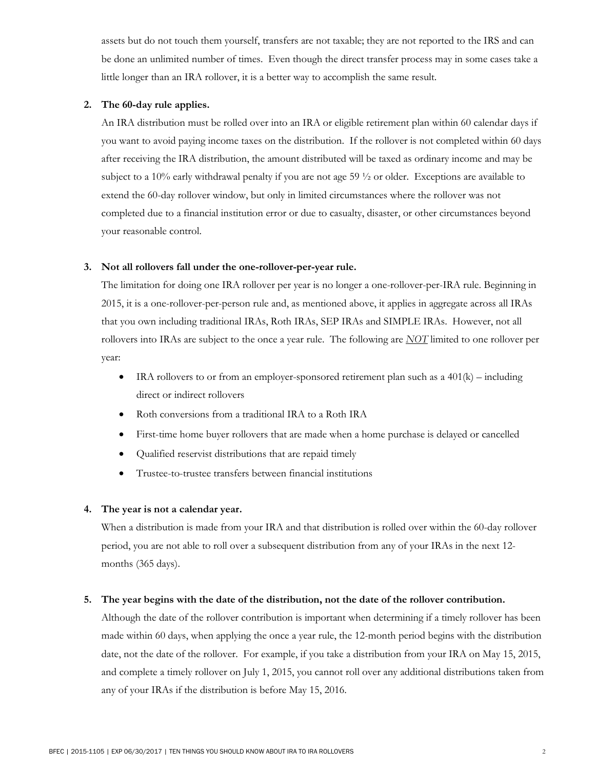assets but do not touch them yourself, transfers are not taxable; they are not reported to the IRS and can be done an unlimited number of times. Even though the direct transfer process may in some cases take a little longer than an IRA rollover, it is a better way to accomplish the same result.

#### **2. The 60-day rule applies.**

An IRA distribution must be rolled over into an IRA or eligible retirement plan within 60 calendar days if you want to avoid paying income taxes on the distribution. If the rollover is not completed within 60 days after receiving the IRA distribution, the amount distributed will be taxed as ordinary income and may be subject to a 10% early withdrawal penalty if you are not age 59 ½ or older. Exceptions are available to extend the 60-day rollover window, but only in limited circumstances where the rollover was not completed due to a financial institution error or due to casualty, disaster, or other circumstances beyond your reasonable control.

#### **3. Not all rollovers fall under the one-rollover-per-year rule.**

The limitation for doing one IRA rollover per year is no longer a one-rollover-per-IRA rule. Beginning in 2015, it is a one-rollover-per-person rule and, as mentioned above, it applies in aggregate across all IRAs that you own including traditional IRAs, Roth IRAs, SEP IRAs and SIMPLE IRAs. However, not all rollovers into IRAs are subject to the once a year rule. The following are *NOT* limited to one rollover per year:

- IRA rollovers to or from an employer-sponsored retirement plan such as a  $401(k)$  including direct or indirect rollovers
- Roth conversions from a traditional IRA to a Roth IRA
- First-time home buyer rollovers that are made when a home purchase is delayed or cancelled
- Qualified reservist distributions that are repaid timely
- Trustee-to-trustee transfers between financial institutions

#### **4. The year is not a calendar year.**

When a distribution is made from your IRA and that distribution is rolled over within the 60-day rollover period, you are not able to roll over a subsequent distribution from any of your IRAs in the next 12 months (365 days).

#### **5. The year begins with the date of the distribution, not the date of the rollover contribution.**

Although the date of the rollover contribution is important when determining if a timely rollover has been made within 60 days, when applying the once a year rule, the 12-month period begins with the distribution date, not the date of the rollover. For example, if you take a distribution from your IRA on May 15, 2015, and complete a timely rollover on July 1, 2015, you cannot roll over any additional distributions taken from any of your IRAs if the distribution is before May 15, 2016.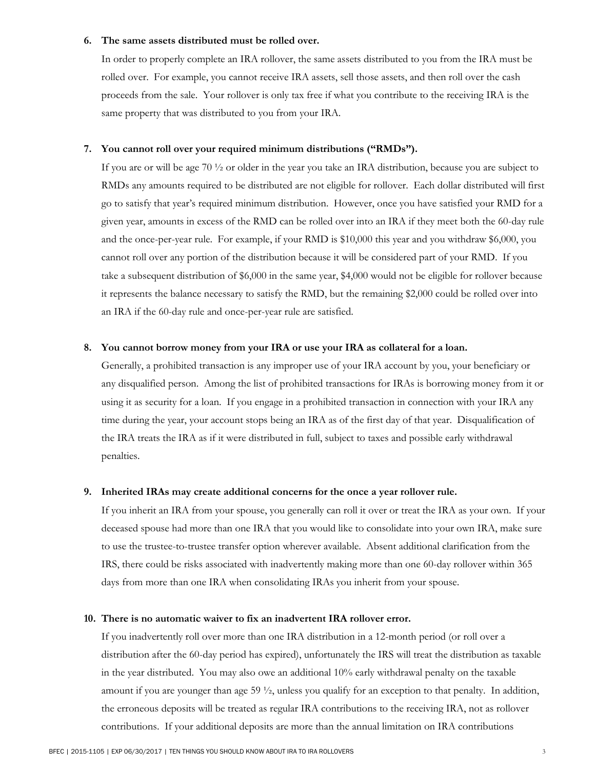#### **6. The same assets distributed must be rolled over.**

In order to properly complete an IRA rollover, the same assets distributed to you from the IRA must be rolled over. For example, you cannot receive IRA assets, sell those assets, and then roll over the cash proceeds from the sale. Your rollover is only tax free if what you contribute to the receiving IRA is the same property that was distributed to you from your IRA.

#### **7. You cannot roll over your required minimum distributions ("RMDs").**

If you are or will be age 70 ½ or older in the year you take an IRA distribution, because you are subject to RMDs any amounts required to be distributed are not eligible for rollover. Each dollar distributed will first go to satisfy that year's required minimum distribution. However, once you have satisfied your RMD for a given year, amounts in excess of the RMD can be rolled over into an IRA if they meet both the 60-day rule and the once-per-year rule. For example, if your RMD is \$10,000 this year and you withdraw \$6,000, you cannot roll over any portion of the distribution because it will be considered part of your RMD. If you take a subsequent distribution of \$6,000 in the same year, \$4,000 would not be eligible for rollover because it represents the balance necessary to satisfy the RMD, but the remaining \$2,000 could be rolled over into an IRA if the 60-day rule and once-per-year rule are satisfied.

#### **8. You cannot borrow money from your IRA or use your IRA as collateral for a loan.**

Generally, a prohibited transaction is any improper use of your IRA account by you, your beneficiary or any disqualified person. Among the list of prohibited transactions for IRAs is borrowing money from it or using it as security for a loan. If you engage in a prohibited transaction in connection with your IRA any time during the year, your account stops being an IRA as of the first day of that year. Disqualification of the IRA treats the IRA as if it were distributed in full, subject to taxes and possible early withdrawal penalties.

#### **9. Inherited IRAs may create additional concerns for the once a year rollover rule.**

If you inherit an IRA from your spouse, you generally can roll it over or treat the IRA as your own. If your deceased spouse had more than one IRA that you would like to consolidate into your own IRA, make sure to use the trustee-to-trustee transfer option wherever available. Absent additional clarification from the IRS, there could be risks associated with inadvertently making more than one 60-day rollover within 365 days from more than one IRA when consolidating IRAs you inherit from your spouse.

#### **10. There is no automatic waiver to fix an inadvertent IRA rollover error.**

If you inadvertently roll over more than one IRA distribution in a 12-month period (or roll over a distribution after the 60-day period has expired), unfortunately the IRS will treat the distribution as taxable in the year distributed. You may also owe an additional 10% early withdrawal penalty on the taxable amount if you are younger than age 59 ½, unless you qualify for an exception to that penalty. In addition, the erroneous deposits will be treated as regular IRA contributions to the receiving IRA, not as rollover contributions. If your additional deposits are more than the annual limitation on IRA contributions